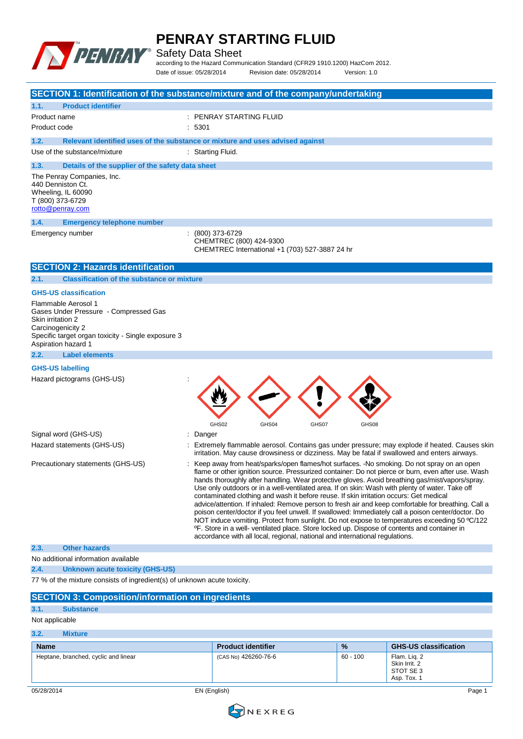

Safety Data Sheet

according to the Hazard Communication Standard (CFR29 1910.1200) HazCom 2012. Date of issue: 05/28/2014 Revision date: 05/28/2014 Version: 1.0

|                                                                                                                                                                                     | SECTION 1: Identification of the substance/mixture and of the company/undertaking                                                                                                                                                                                                                                                                                                                                                                                                                                                                                                                                                                                                                                                                                                                                                                                                                                                                                                                         |
|-------------------------------------------------------------------------------------------------------------------------------------------------------------------------------------|-----------------------------------------------------------------------------------------------------------------------------------------------------------------------------------------------------------------------------------------------------------------------------------------------------------------------------------------------------------------------------------------------------------------------------------------------------------------------------------------------------------------------------------------------------------------------------------------------------------------------------------------------------------------------------------------------------------------------------------------------------------------------------------------------------------------------------------------------------------------------------------------------------------------------------------------------------------------------------------------------------------|
| 1.1.<br><b>Product identifier</b>                                                                                                                                                   |                                                                                                                                                                                                                                                                                                                                                                                                                                                                                                                                                                                                                                                                                                                                                                                                                                                                                                                                                                                                           |
| Product name                                                                                                                                                                        | : PENRAY STARTING FLUID                                                                                                                                                                                                                                                                                                                                                                                                                                                                                                                                                                                                                                                                                                                                                                                                                                                                                                                                                                                   |
| Product code                                                                                                                                                                        | : 5301                                                                                                                                                                                                                                                                                                                                                                                                                                                                                                                                                                                                                                                                                                                                                                                                                                                                                                                                                                                                    |
| 1.2.                                                                                                                                                                                | Relevant identified uses of the substance or mixture and uses advised against                                                                                                                                                                                                                                                                                                                                                                                                                                                                                                                                                                                                                                                                                                                                                                                                                                                                                                                             |
| Use of the substance/mixture                                                                                                                                                        | : Starting Fluid.                                                                                                                                                                                                                                                                                                                                                                                                                                                                                                                                                                                                                                                                                                                                                                                                                                                                                                                                                                                         |
| Details of the supplier of the safety data sheet<br>1.3.                                                                                                                            |                                                                                                                                                                                                                                                                                                                                                                                                                                                                                                                                                                                                                                                                                                                                                                                                                                                                                                                                                                                                           |
| The Penray Companies, Inc.<br>440 Denniston Ct.<br>Wheeling, IL 60090<br>T (800) 373-6729<br>rotto@penray.com                                                                       |                                                                                                                                                                                                                                                                                                                                                                                                                                                                                                                                                                                                                                                                                                                                                                                                                                                                                                                                                                                                           |
| 1.4.<br><b>Emergency telephone number</b>                                                                                                                                           |                                                                                                                                                                                                                                                                                                                                                                                                                                                                                                                                                                                                                                                                                                                                                                                                                                                                                                                                                                                                           |
| Emergency number                                                                                                                                                                    | (800) 373-6729<br>CHEMTREC (800) 424-9300<br>CHEMTREC International +1 (703) 527-3887 24 hr                                                                                                                                                                                                                                                                                                                                                                                                                                                                                                                                                                                                                                                                                                                                                                                                                                                                                                               |
| <b>SECTION 2: Hazards identification</b>                                                                                                                                            |                                                                                                                                                                                                                                                                                                                                                                                                                                                                                                                                                                                                                                                                                                                                                                                                                                                                                                                                                                                                           |
| <b>Classification of the substance or mixture</b><br>2.1.                                                                                                                           |                                                                                                                                                                                                                                                                                                                                                                                                                                                                                                                                                                                                                                                                                                                                                                                                                                                                                                                                                                                                           |
| <b>GHS-US classification</b>                                                                                                                                                        |                                                                                                                                                                                                                                                                                                                                                                                                                                                                                                                                                                                                                                                                                                                                                                                                                                                                                                                                                                                                           |
| Flammable Aerosol 1<br>Gases Under Pressure - Compressed Gas<br>Skin irritation 2<br>Carcinogenicity 2<br>Specific target organ toxicity - Single exposure 3<br>Aspiration hazard 1 |                                                                                                                                                                                                                                                                                                                                                                                                                                                                                                                                                                                                                                                                                                                                                                                                                                                                                                                                                                                                           |
| 2.2.<br><b>Label elements</b>                                                                                                                                                       |                                                                                                                                                                                                                                                                                                                                                                                                                                                                                                                                                                                                                                                                                                                                                                                                                                                                                                                                                                                                           |
| <b>GHS-US labelling</b><br>Hazard pictograms (GHS-US)                                                                                                                               | GHS02<br>GHS04<br>GHS07<br>GHS08                                                                                                                                                                                                                                                                                                                                                                                                                                                                                                                                                                                                                                                                                                                                                                                                                                                                                                                                                                          |
| Signal word (GHS-US)                                                                                                                                                                | Danger                                                                                                                                                                                                                                                                                                                                                                                                                                                                                                                                                                                                                                                                                                                                                                                                                                                                                                                                                                                                    |
| Hazard statements (GHS-US)                                                                                                                                                          | Extremely flammable aerosol. Contains gas under pressure; may explode if heated. Causes skin<br>irritation. May cause drowsiness or dizziness. May be fatal if swallowed and enters airways.                                                                                                                                                                                                                                                                                                                                                                                                                                                                                                                                                                                                                                                                                                                                                                                                              |
| Precautionary statements (GHS-US)                                                                                                                                                   | Keep away from heat/sparks/open flames/hot surfaces. -No smoking. Do not spray on an open<br>flame or other ignition source. Pressurized container: Do not pierce or burn, even after use. Wash<br>hands thoroughly after handling. Wear protective gloves. Avoid breathing gas/mist/vapors/spray.<br>Use only outdoors or in a well-ventilated area. If on skin: Wash with plenty of water. Take off<br>contaminated clothing and wash it before reuse. If skin irritation occurs: Get medical<br>advice/attention. If inhaled: Remove person to fresh air and keep comfortable for breathing. Call a<br>poison center/doctor if you feel unwell. If swallowed: Immediately call a poison center/doctor. Do<br>NOT induce vomiting. Protect from sunlight. Do not expose to temperatures exceeding 50 °C/122<br><sup>o</sup> F. Store in a well- ventilated place. Store locked up. Dispose of contents and container in<br>accordance with all local, regional, national and international regulations. |
| <b>Other hazards</b><br>2.3.                                                                                                                                                        |                                                                                                                                                                                                                                                                                                                                                                                                                                                                                                                                                                                                                                                                                                                                                                                                                                                                                                                                                                                                           |
| No additional information available                                                                                                                                                 |                                                                                                                                                                                                                                                                                                                                                                                                                                                                                                                                                                                                                                                                                                                                                                                                                                                                                                                                                                                                           |
| 2.4.<br><b>Unknown acute toxicity (GHS-US)</b><br>77 % of the mixture consists of ingredient(s) of unknown acute toxicity.                                                          |                                                                                                                                                                                                                                                                                                                                                                                                                                                                                                                                                                                                                                                                                                                                                                                                                                                                                                                                                                                                           |
|                                                                                                                                                                                     |                                                                                                                                                                                                                                                                                                                                                                                                                                                                                                                                                                                                                                                                                                                                                                                                                                                                                                                                                                                                           |
| <b>SECTION 3: Composition/information on ingredients</b>                                                                                                                            |                                                                                                                                                                                                                                                                                                                                                                                                                                                                                                                                                                                                                                                                                                                                                                                                                                                                                                                                                                                                           |
| 3.1.<br><b>Substance</b>                                                                                                                                                            |                                                                                                                                                                                                                                                                                                                                                                                                                                                                                                                                                                                                                                                                                                                                                                                                                                                                                                                                                                                                           |
| Not applicable                                                                                                                                                                      |                                                                                                                                                                                                                                                                                                                                                                                                                                                                                                                                                                                                                                                                                                                                                                                                                                                                                                                                                                                                           |
| 3.2.<br><b>Mixture</b>                                                                                                                                                              |                                                                                                                                                                                                                                                                                                                                                                                                                                                                                                                                                                                                                                                                                                                                                                                                                                                                                                                                                                                                           |

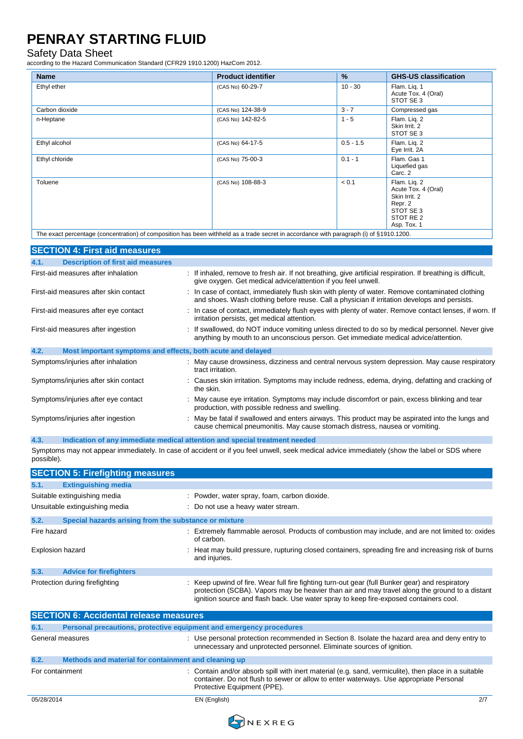#### Safety Data Sheet

according to the Hazard Communication Standard (CFR29 1910.1200) HazCom 2012.

| (CAS No) 60-29-7  |             |                                                                                                                                         |
|-------------------|-------------|-----------------------------------------------------------------------------------------------------------------------------------------|
|                   | $10 - 30$   | Flam. Lig. 1<br>Acute Tox. 4 (Oral)<br>STOT SE 3                                                                                        |
| (CAS No) 124-38-9 | $3 - 7$     | Compressed gas                                                                                                                          |
| (CAS No) 142-82-5 | $1 - 5$     | Flam. Liq. 2<br>Skin Irrit. 2<br>STOT SE 3                                                                                              |
| (CAS No) 64-17-5  | $0.5 - 1.5$ | Flam. Lig. 2<br>Eye Irrit. 2A                                                                                                           |
| (CAS No) 75-00-3  | $0.1 - 1$   | Flam. Gas 1<br>Liquefied gas<br>Carc. 2                                                                                                 |
| (CAS No) 108-88-3 | < 0.1       | Flam. Lig. 2<br>Acute Tox. 4 (Oral)<br>Skin Irrit. 2<br>Repr. 2<br>STOT SE 3<br>STOT RE <sub>2</sub><br>Asp. Tox. 1                     |
|                   |             | The exact percentage (concentration) of composition has been withheld as a trade secret in accordance with paragraph (i) of §1910.1200. |

| <b>SECTION 4: First aid measures</b>                                |                                                                                                                                                                                                 |
|---------------------------------------------------------------------|-------------------------------------------------------------------------------------------------------------------------------------------------------------------------------------------------|
| <b>Description of first aid measures</b><br>4.1.                    |                                                                                                                                                                                                 |
| First-aid measures after inhalation                                 | : If inhaled, remove to fresh air. If not breathing, give artificial respiration. If breathing is difficult,<br>give oxygen. Get medical advice/attention if you feel unwell.                   |
| First-aid measures after skin contact                               | : In case of contact, immediately flush skin with plenty of water. Remove contaminated clothing<br>and shoes. Wash clothing before reuse. Call a physician if irritation develops and persists. |
| First-aid measures after eye contact                                | : In case of contact, immediately flush eyes with plenty of water. Remove contact lenses, if worn. If<br>irritation persists, get medical attention.                                            |
| First-aid measures after ingestion                                  | : If swallowed, do NOT induce vomiting unless directed to do so by medical personnel. Never give<br>anything by mouth to an unconscious person. Get immediate medical advice/attention.         |
| 4.2.<br>Most important symptoms and effects, both acute and delayed |                                                                                                                                                                                                 |
| Symptoms/injuries after inhalation                                  | : May cause drowsiness, dizziness and central nervous system depression. May cause respiratory<br>tract irritation.                                                                             |
| Symptoms/injuries after skin contact                                | : Causes skin irritation. Symptoms may include redness, edema, drying, defatting and cracking of<br>the skin.                                                                                   |
| Symptoms/injuries after eye contact                                 | : May cause eye irritation. Symptoms may include discomfort or pain, excess blinking and tear<br>production, with possible redness and swelling.                                                |
| Symptoms/injuries after ingestion                                   | : May be fatal if swallowed and enters airways. This product may be aspirated into the lungs and<br>cause chemical pneumonitis. May cause stomach distress, nausea or vomiting.                 |

**4.3. Indication of any immediate medical attention and special treatment needed**

Symptoms may not appear immediately. In case of accident or if you feel unwell, seek medical advice immediately (show the label or SDS where possible).

|                         | <b>SECTION 5: Firefighting measures</b>               |                                                                                                                                                                                                                                                                                            |
|-------------------------|-------------------------------------------------------|--------------------------------------------------------------------------------------------------------------------------------------------------------------------------------------------------------------------------------------------------------------------------------------------|
| 5.1.                    | <b>Extinguishing media</b>                            |                                                                                                                                                                                                                                                                                            |
|                         | Suitable extinguishing media                          | : Powder, water spray, foam, carbon dioxide.                                                                                                                                                                                                                                               |
|                         | Unsuitable extinguishing media                        | : Do not use a heavy water stream.                                                                                                                                                                                                                                                         |
| 5.2.                    | Special hazards arising from the substance or mixture |                                                                                                                                                                                                                                                                                            |
| Fire hazard             |                                                       | Extremely flammable aerosol. Products of combustion may include, and are not limited to: oxides<br>of carbon.                                                                                                                                                                              |
| <b>Explosion hazard</b> |                                                       | : Heat may build pressure, rupturing closed containers, spreading fire and increasing risk of burns<br>and injuries.                                                                                                                                                                       |
| 5.3.                    | <b>Advice for firefighters</b>                        |                                                                                                                                                                                                                                                                                            |
|                         | Protection during firefighting                        | : Keep upwind of fire. Wear full fire fighting turn-out gear (full Bunker gear) and respiratory<br>protection (SCBA). Vapors may be heavier than air and may travel along the ground to a distant<br>ignition source and flash back. Use water spray to keep fire-exposed containers cool. |

|                 | <b>SECTION 6: Accidental release measures</b>                       |                                                                                                                                                                                                                               |     |
|-----------------|---------------------------------------------------------------------|-------------------------------------------------------------------------------------------------------------------------------------------------------------------------------------------------------------------------------|-----|
| 6.1.            | Personal precautions, protective equipment and emergency procedures |                                                                                                                                                                                                                               |     |
|                 | General measures                                                    | : Use personal protection recommended in Section 8. Isolate the hazard area and deny entry to<br>unnecessary and unprotected personnel. Eliminate sources of ignition.                                                        |     |
| 6.2.            | Methods and material for containment and cleaning up                |                                                                                                                                                                                                                               |     |
| For containment |                                                                     | : Contain and/or absorb spill with inert material (e.g. sand, vermiculite), then place in a suitable<br>container. Do not flush to sewer or allow to enter waterways. Use appropriate Personal<br>Protective Equipment (PPE). |     |
| 05/28/2014      |                                                                     | EN (English)                                                                                                                                                                                                                  | 2/7 |

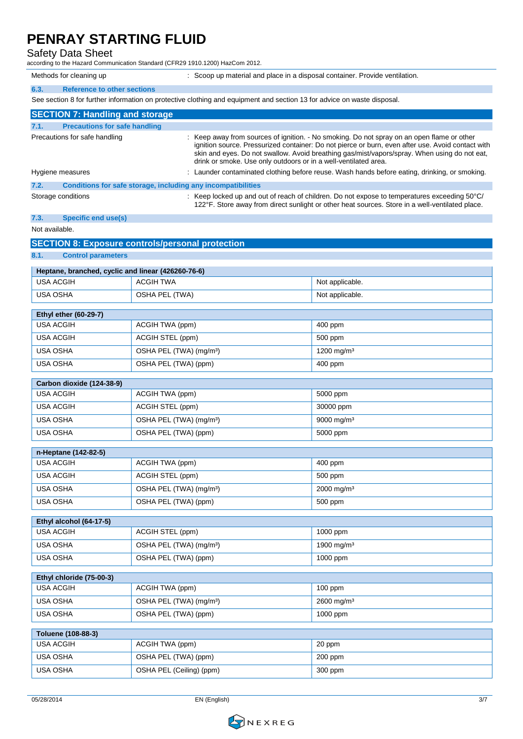#### Safety Data Sheet

according to the Hazard Communication Standard (CFR29 1910.1200) HazCom 2012.

Methods for cleaning up : Scoop up material and place in a disposal container. Provide ventilation.

| 6.3. | <b>Reference to other sections</b>                                                                                      |
|------|-------------------------------------------------------------------------------------------------------------------------|
|      | See section 8 for further information on protective clothing and equipment and section 13 for advice on waste disposal. |
|      |                                                                                                                         |
|      | <b>SECTION 7: Handling and storage</b>                                                                                  |

|      | Precautions for safe handling                                | : Keep away from sources of ignition. - No smoking. Do not spray on an open flame or other<br>ignition source. Pressurized container: Do not pierce or burn, even after use. Avoid contact with<br>skin and eyes. Do not swallow. Avoid breathing gas/mist/vapors/spray. When using do not eat,<br>drink or smoke. Use only outdoors or in a well-ventilated area. |
|------|--------------------------------------------------------------|--------------------------------------------------------------------------------------------------------------------------------------------------------------------------------------------------------------------------------------------------------------------------------------------------------------------------------------------------------------------|
|      | Hygiene measures                                             | : Launder contaminated clothing before reuse. Wash hands before eating, drinking, or smoking.                                                                                                                                                                                                                                                                      |
| 7.2. | Conditions for safe storage, including any incompatibilities |                                                                                                                                                                                                                                                                                                                                                                    |
|      | Storage conditions                                           | : Keep locked up and out of reach of children. Do not expose to temperatures exceeding $50^{\circ}$ C/<br>122°F. Store away from direct sunlight or other heat sources. Store in a well-ventilated place.                                                                                                                                                          |

#### **7.3. Specific end use(s)**

#### Not available.

| <b>SECTION 8: Exposure controls/personal protection</b> |                                     |                        |  |  |
|---------------------------------------------------------|-------------------------------------|------------------------|--|--|
| 8.1.<br><b>Control parameters</b>                       |                                     |                        |  |  |
| Heptane, branched, cyclic and linear (426260-76-6)      |                                     |                        |  |  |
| <b>USA ACGIH</b>                                        | <b>ACGIH TWA</b>                    | Not applicable.        |  |  |
| <b>USA OSHA</b>                                         | OSHA PEL (TWA)                      | Not applicable.        |  |  |
| <b>Ethyl ether (60-29-7)</b>                            |                                     |                        |  |  |
| <b>USA ACGIH</b>                                        | ACGIH TWA (ppm)                     | 400 ppm                |  |  |
| <b>USA ACGIH</b>                                        | ACGIH STEL (ppm)                    | 500 ppm                |  |  |
| <b>USA OSHA</b>                                         | OSHA PEL (TWA) (mg/m <sup>3</sup> ) | 1200 mg/m <sup>3</sup> |  |  |
| <b>USA OSHA</b>                                         | OSHA PEL (TWA) (ppm)                | 400 ppm                |  |  |
| Carbon dioxide (124-38-9)                               |                                     |                        |  |  |
| <b>USA ACGIH</b>                                        | ACGIH TWA (ppm)                     | 5000 ppm               |  |  |
| <b>USA ACGIH</b>                                        | ACGIH STEL (ppm)                    | 30000 ppm              |  |  |
| <b>USA OSHA</b>                                         | OSHA PEL (TWA) (mg/m <sup>3</sup> ) | 9000 mg/m <sup>3</sup> |  |  |
| USA OSHA                                                | OSHA PEL (TWA) (ppm)                | 5000 ppm               |  |  |
| n-Heptane (142-82-5)                                    |                                     |                        |  |  |
| <b>USA ACGIH</b>                                        | ACGIH TWA (ppm)                     | 400 ppm                |  |  |
| <b>USA ACGIH</b>                                        | ACGIH STEL (ppm)                    | 500 ppm                |  |  |
| <b>USA OSHA</b>                                         | OSHA PEL (TWA) (mg/m <sup>3</sup> ) | 2000 mg/m <sup>3</sup> |  |  |
| <b>USA OSHA</b>                                         | OSHA PEL (TWA) (ppm)                | 500 ppm                |  |  |
|                                                         |                                     |                        |  |  |
| Ethyl alcohol (64-17-5)<br><b>USA ACGIH</b>             |                                     |                        |  |  |
|                                                         | ACGIH STEL (ppm)                    | 1000 ppm               |  |  |
| <b>USA OSHA</b>                                         | OSHA PEL (TWA) (mg/m <sup>3</sup> ) | 1900 mg/m <sup>3</sup> |  |  |
| <b>USA OSHA</b>                                         | OSHA PEL (TWA) (ppm)                | 1000 ppm               |  |  |
| Ethyl chloride (75-00-3)                                |                                     |                        |  |  |
| <b>USA ACGIH</b>                                        | ACGIH TWA (ppm)                     | $100$ ppm              |  |  |
| <b>USA OSHA</b>                                         | OSHA PEL (TWA) (mg/m <sup>3</sup> ) | 2600 mg/m <sup>3</sup> |  |  |
| USA OSHA                                                | OSHA PEL (TWA) (ppm)                | 1000 ppm               |  |  |

| Toluene (108-88-3) |                          |           |
|--------------------|--------------------------|-----------|
| USA ACGIH          | ACGIH TWA (ppm)          | 20 ppm    |
| <b>USA OSHA</b>    | OSHA PEL (TWA) (ppm)     | $200$ ppm |
| USA OSHA           | OSHA PEL (Ceiling) (ppm) | 300 ppm   |

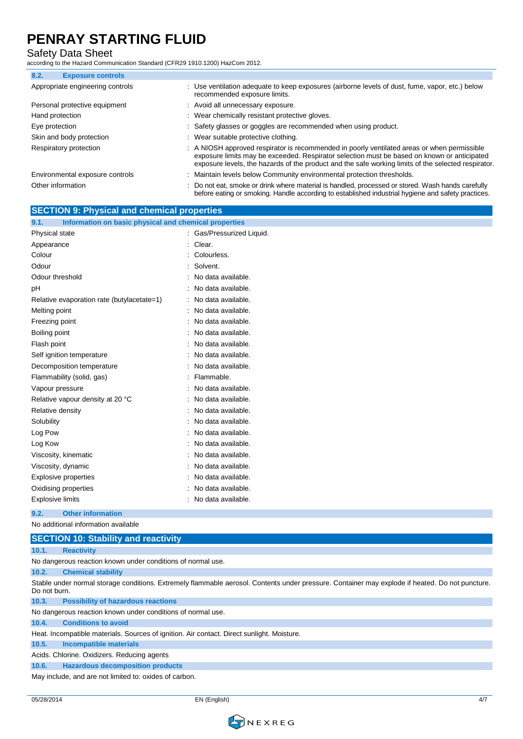#### Safety Data Sheet

according to the Hazard Communication Standard (CFR29 1910.1200) HazCom 2012.

| 8.2. | <b>Exposure controls</b>         |                                                                                                                                                                                                                                                                                                   |  |
|------|----------------------------------|---------------------------------------------------------------------------------------------------------------------------------------------------------------------------------------------------------------------------------------------------------------------------------------------------|--|
|      | Appropriate engineering controls | : Use ventilation adequate to keep exposures (airborne levels of dust, fume, vapor, etc.) below<br>recommended exposure limits.                                                                                                                                                                   |  |
|      | Personal protective equipment    | : Avoid all unnecessary exposure.                                                                                                                                                                                                                                                                 |  |
|      | Hand protection                  | : Wear chemically resistant protective gloves.                                                                                                                                                                                                                                                    |  |
|      | Eye protection                   | : Safety glasses or goggles are recommended when using product.                                                                                                                                                                                                                                   |  |
|      | Skin and body protection         | : Wear suitable protective clothing.                                                                                                                                                                                                                                                              |  |
|      | Respiratory protection           | : A NIOSH approved respirator is recommended in poorly ventilated areas or when permissible<br>exposure limits may be exceeded. Respirator selection must be based on known or anticipated<br>exposure levels, the hazards of the product and the safe working limits of the selected respirator. |  |
|      | Environmental exposure controls  | : Maintain levels below Community environmental protection thresholds.                                                                                                                                                                                                                            |  |
|      | Other information                | Do not eat, smoke or drink where material is handled, processed or stored. Wash hands carefully<br>before eating or smoking. Handle according to established industrial hygiene and safety practices.                                                                                             |  |

| <b>SECTION 9: Physical and chemical properties</b>            |                           |
|---------------------------------------------------------------|---------------------------|
| Information on basic physical and chemical properties<br>9.1. |                           |
| Physical state                                                | : Gas/Pressurized Liquid. |
| Appearance                                                    | Clear.                    |
| Colour                                                        | Colourless.               |
| Odour                                                         | Solvent.                  |
| Odour threshold                                               | No data available.        |
| рH                                                            | No data available.        |
| Relative evaporation rate (butylacetate=1)                    | No data available.        |
| Melting point                                                 | No data available.        |
| Freezing point                                                | No data available.        |
| Boiling point                                                 | No data available.        |
| Flash point                                                   | No data available.        |
| Self ignition temperature                                     | No data available.        |
| Decomposition temperature                                     | No data available.        |
| Flammability (solid, gas)                                     | Flammable.                |
| Vapour pressure                                               | No data available.        |
| Relative vapour density at 20 °C                              | No data available.        |
| Relative density                                              | No data available.        |
| Solubility                                                    | No data available.        |
| Log Pow                                                       | No data available.        |
| Log Kow                                                       | No data available.        |
| Viscosity, kinematic                                          | No data available.        |
| Viscosity, dynamic                                            | No data available.        |
| <b>Explosive properties</b>                                   | No data available.        |
| Oxidising properties                                          | No data available.        |
| <b>Explosive limits</b>                                       | No data available.        |
| 9.2.<br><b>Other information</b>                              |                           |

No additional information available

|              | <b>SECTION 10: Stability and reactivity</b>                                                                                                     |
|--------------|-------------------------------------------------------------------------------------------------------------------------------------------------|
| 10.1.        | <b>Reactivity</b>                                                                                                                               |
|              | No dangerous reaction known under conditions of normal use.                                                                                     |
| 10.2.        | <b>Chemical stability</b>                                                                                                                       |
| Do not burn. | Stable under normal storage conditions. Extremely flammable aerosol. Contents under pressure. Container may explode if heated. Do not puncture. |
| 10.3.        | <b>Possibility of hazardous reactions</b>                                                                                                       |
|              | No dangerous reaction known under conditions of normal use.                                                                                     |
| 10.4.        | <b>Conditions to avoid</b>                                                                                                                      |
|              | Heat. Incompatible materials. Sources of ignition. Air contact. Direct sunlight. Moisture.                                                      |
| 10.5.        | <b>Incompatible materials</b>                                                                                                                   |
|              | Acids. Chlorine. Oxidizers. Reducing agents                                                                                                     |
| 10.6.        | <b>Hazardous decomposition products</b>                                                                                                         |
|              | May include, and are not limited to: oxides of carbon.                                                                                          |

05/28/2014 EN (English) 4/7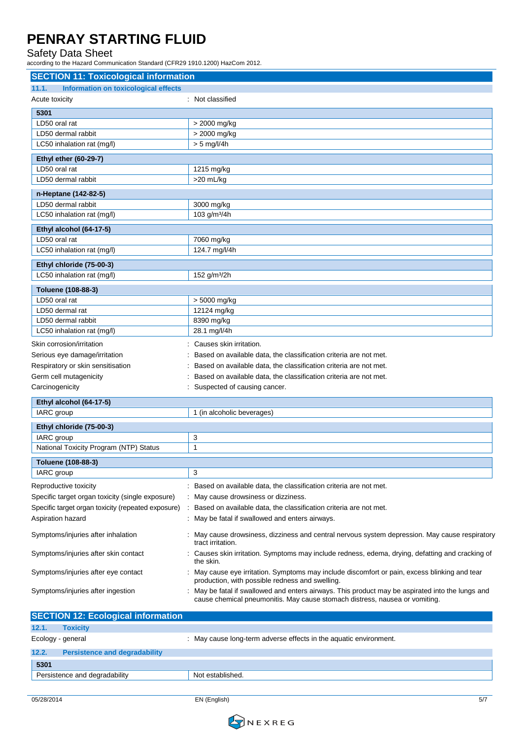#### Safety Data Sheet

according to the Hazard Communication Standard (CFR29 1910.1200) HazCom 2012.

| <b>SECTION 11: Toxicological information</b>         |                                                                                                                                                                                 |  |
|------------------------------------------------------|---------------------------------------------------------------------------------------------------------------------------------------------------------------------------------|--|
| 11.1.<br><b>Information on toxicological effects</b> |                                                                                                                                                                                 |  |
| Acute toxicity                                       | : Not classified                                                                                                                                                                |  |
| 5301                                                 |                                                                                                                                                                                 |  |
| LD50 oral rat                                        | > 2000 mg/kg                                                                                                                                                                    |  |
| LD50 dermal rabbit                                   | > 2000 mg/kg                                                                                                                                                                    |  |
| LC50 inhalation rat (mg/l)                           | $> 5$ mg/l/4h                                                                                                                                                                   |  |
|                                                      |                                                                                                                                                                                 |  |
| <b>Ethyl ether (60-29-7)</b>                         |                                                                                                                                                                                 |  |
| LD50 oral rat                                        | 1215 mg/kg                                                                                                                                                                      |  |
| LD50 dermal rabbit                                   | $>20$ mL/kg                                                                                                                                                                     |  |
| n-Heptane (142-82-5)                                 |                                                                                                                                                                                 |  |
| LD50 dermal rabbit                                   | 3000 mg/kg                                                                                                                                                                      |  |
| LC50 inhalation rat (mg/l)                           | 103 g/m <sup>3</sup> /4h                                                                                                                                                        |  |
| Ethyl alcohol (64-17-5)                              |                                                                                                                                                                                 |  |
| LD50 oral rat                                        | 7060 mg/kg                                                                                                                                                                      |  |
| LC50 inhalation rat (mg/l)                           | 124.7 mg/l/4h                                                                                                                                                                   |  |
| Ethyl chloride (75-00-3)                             |                                                                                                                                                                                 |  |
| LC50 inhalation rat (mg/l)                           | 152 g/m <sup>3</sup> /2h                                                                                                                                                        |  |
| Toluene (108-88-3)                                   |                                                                                                                                                                                 |  |
| LD50 oral rat                                        | > 5000 mg/kg                                                                                                                                                                    |  |
| LD50 dermal rat                                      | 12124 mg/kg                                                                                                                                                                     |  |
| LD50 dermal rabbit                                   | 8390 mg/kg                                                                                                                                                                      |  |
| LC50 inhalation rat (mg/l)                           | 28.1 mg/l/4h                                                                                                                                                                    |  |
|                                                      |                                                                                                                                                                                 |  |
| Skin corrosion/irritation                            | Causes skin irritation.                                                                                                                                                         |  |
| Serious eye damage/irritation                        | Based on available data, the classification criteria are not met.                                                                                                               |  |
| Respiratory or skin sensitisation                    | Based on available data, the classification criteria are not met.                                                                                                               |  |
| Germ cell mutagenicity                               | Based on available data, the classification criteria are not met.                                                                                                               |  |
| Carcinogenicity                                      | Suspected of causing cancer.                                                                                                                                                    |  |
| Ethyl alcohol (64-17-5)                              |                                                                                                                                                                                 |  |
| IARC group                                           | 1 (in alcoholic beverages)                                                                                                                                                      |  |
| Ethyl chloride (75-00-3)                             |                                                                                                                                                                                 |  |
| IARC group                                           | 3                                                                                                                                                                               |  |
| National Toxicity Program (NTP) Status               | 1                                                                                                                                                                               |  |
| Toluene (108-88-3)                                   |                                                                                                                                                                                 |  |
| IARC group                                           | 3                                                                                                                                                                               |  |
| Reproductive toxicity                                | Based on available data, the classification criteria are not met.                                                                                                               |  |
| Specific target organ toxicity (single exposure)     | May cause drowsiness or dizziness.                                                                                                                                              |  |
| Specific target organ toxicity (repeated exposure)   | Based on available data, the classification criteria are not met.                                                                                                               |  |
| Aspiration hazard                                    | May be fatal if swallowed and enters airways.                                                                                                                                   |  |
| Symptoms/injuries after inhalation                   | May cause drowsiness, dizziness and central nervous system depression. May cause respiratory<br>tract irritation.                                                               |  |
| Symptoms/injuries after skin contact                 | Causes skin irritation. Symptoms may include redness, edema, drying, defatting and cracking of<br>the skin.                                                                     |  |
| Symptoms/injuries after eye contact                  | May cause eye irritation. Symptoms may include discomfort or pain, excess blinking and tear<br>production, with possible redness and swelling.                                  |  |
| Symptoms/injuries after ingestion                    | : May be fatal if swallowed and enters airways. This product may be aspirated into the lungs and<br>cause chemical pneumonitis. May cause stomach distress, nausea or vomiting. |  |

|                   | <b>SECTION 12: Ecological information</b> |                                                                   |
|-------------------|-------------------------------------------|-------------------------------------------------------------------|
| 12.1.             | <b>Toxicity</b>                           |                                                                   |
| Ecology - general |                                           | : May cause long-term adverse effects in the aquatic environment. |
| 12.2.             | <b>Persistence and degradability</b>      |                                                                   |
| 5301              |                                           |                                                                   |
|                   | Persistence and degradability             | Not established.                                                  |
|                   |                                           |                                                                   |

05/28/2014 EN (English) 5/7

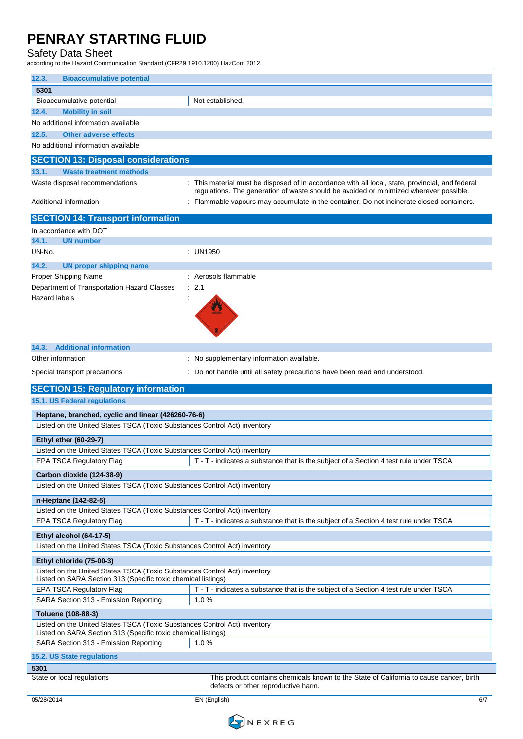#### Safety Data Sheet

according to the Hazard Communication Standard (CFR29 1910.1200) HazCom 2012.

| 12.3.<br><b>Bioaccumulative potential</b>                                                                                                  |                                                                                                                                                                                                                                                                                       |
|--------------------------------------------------------------------------------------------------------------------------------------------|---------------------------------------------------------------------------------------------------------------------------------------------------------------------------------------------------------------------------------------------------------------------------------------|
| 5301                                                                                                                                       |                                                                                                                                                                                                                                                                                       |
| Bioaccumulative potential                                                                                                                  | Not established.                                                                                                                                                                                                                                                                      |
| <b>Mobility in soil</b><br>12.4.                                                                                                           |                                                                                                                                                                                                                                                                                       |
| No additional information available                                                                                                        |                                                                                                                                                                                                                                                                                       |
| <b>Other adverse effects</b><br>12.5.                                                                                                      |                                                                                                                                                                                                                                                                                       |
| No additional information available                                                                                                        |                                                                                                                                                                                                                                                                                       |
| <b>SECTION 13: Disposal considerations</b>                                                                                                 |                                                                                                                                                                                                                                                                                       |
| 13.1.<br><b>Waste treatment methods</b>                                                                                                    |                                                                                                                                                                                                                                                                                       |
| Waste disposal recommendations<br>Additional information                                                                                   | : This material must be disposed of in accordance with all local, state, provincial, and federal<br>regulations. The generation of waste should be avoided or minimized wherever possible.<br>Flammable vapours may accumulate in the container. Do not incinerate closed containers. |
|                                                                                                                                            |                                                                                                                                                                                                                                                                                       |
| <b>SECTION 14: Transport information</b><br>In accordance with DOT                                                                         |                                                                                                                                                                                                                                                                                       |
| 14.1.<br><b>UN number</b>                                                                                                                  |                                                                                                                                                                                                                                                                                       |
| UN-No.                                                                                                                                     | : UN1950                                                                                                                                                                                                                                                                              |
| 14.2.<br><b>UN proper shipping name</b>                                                                                                    |                                                                                                                                                                                                                                                                                       |
| Proper Shipping Name                                                                                                                       | Aerosols flammable                                                                                                                                                                                                                                                                    |
| Department of Transportation Hazard Classes                                                                                                | 2.1                                                                                                                                                                                                                                                                                   |
| <b>Hazard labels</b>                                                                                                                       |                                                                                                                                                                                                                                                                                       |
|                                                                                                                                            |                                                                                                                                                                                                                                                                                       |
| <b>Additional information</b><br>14.3.                                                                                                     |                                                                                                                                                                                                                                                                                       |
| Other information                                                                                                                          | : No supplementary information available.                                                                                                                                                                                                                                             |
| Special transport precautions                                                                                                              | Do not handle until all safety precautions have been read and understood.                                                                                                                                                                                                             |
|                                                                                                                                            |                                                                                                                                                                                                                                                                                       |
|                                                                                                                                            |                                                                                                                                                                                                                                                                                       |
| <b>SECTION 15: Regulatory information</b>                                                                                                  |                                                                                                                                                                                                                                                                                       |
| 15.1. US Federal regulations                                                                                                               |                                                                                                                                                                                                                                                                                       |
| Heptane, branched, cyclic and linear (426260-76-6)                                                                                         |                                                                                                                                                                                                                                                                                       |
| Listed on the United States TSCA (Toxic Substances Control Act) inventory                                                                  |                                                                                                                                                                                                                                                                                       |
| <b>Ethyl ether (60-29-7)</b>                                                                                                               |                                                                                                                                                                                                                                                                                       |
| Listed on the United States TSCA (Toxic Substances Control Act) inventory                                                                  |                                                                                                                                                                                                                                                                                       |
| <b>EPA TSCA Regulatory Flag</b>                                                                                                            | T - T - indicates a substance that is the subject of a Section 4 test rule under TSCA.                                                                                                                                                                                                |
| Carbon dioxide (124-38-9)                                                                                                                  |                                                                                                                                                                                                                                                                                       |
| Listed on the United States TSCA (Toxic Substances Control Act) inventory                                                                  |                                                                                                                                                                                                                                                                                       |
| n-Heptane (142-82-5)                                                                                                                       |                                                                                                                                                                                                                                                                                       |
| Listed on the United States TSCA (Toxic Substances Control Act) inventory                                                                  |                                                                                                                                                                                                                                                                                       |
| EPA TSCA Regulatory Flag                                                                                                                   | T - T - indicates a substance that is the subject of a Section 4 test rule under TSCA.                                                                                                                                                                                                |
| Ethyl alcohol (64-17-5)                                                                                                                    |                                                                                                                                                                                                                                                                                       |
| Listed on the United States TSCA (Toxic Substances Control Act) inventory                                                                  |                                                                                                                                                                                                                                                                                       |
| Ethyl chloride (75-00-3)                                                                                                                   |                                                                                                                                                                                                                                                                                       |
| Listed on the United States TSCA (Toxic Substances Control Act) inventory<br>Listed on SARA Section 313 (Specific toxic chemical listings) |                                                                                                                                                                                                                                                                                       |
| EPA TSCA Regulatory Flag                                                                                                                   | T - T - indicates a substance that is the subject of a Section 4 test rule under TSCA.                                                                                                                                                                                                |
| SARA Section 313 - Emission Reporting                                                                                                      | 1.0%                                                                                                                                                                                                                                                                                  |
| Toluene (108-88-3)                                                                                                                         |                                                                                                                                                                                                                                                                                       |
| Listed on the United States TSCA (Toxic Substances Control Act) inventory                                                                  |                                                                                                                                                                                                                                                                                       |
| Listed on SARA Section 313 (Specific toxic chemical listings)                                                                              |                                                                                                                                                                                                                                                                                       |
| SARA Section 313 - Emission Reporting                                                                                                      | 1.0%                                                                                                                                                                                                                                                                                  |
| 15.2. US State regulations                                                                                                                 |                                                                                                                                                                                                                                                                                       |
| 5301<br>State or local regulations                                                                                                         | This product contains chemicals known to the State of California to cause cancer, birth                                                                                                                                                                                               |

05/28/2014 EN (English) 6/7